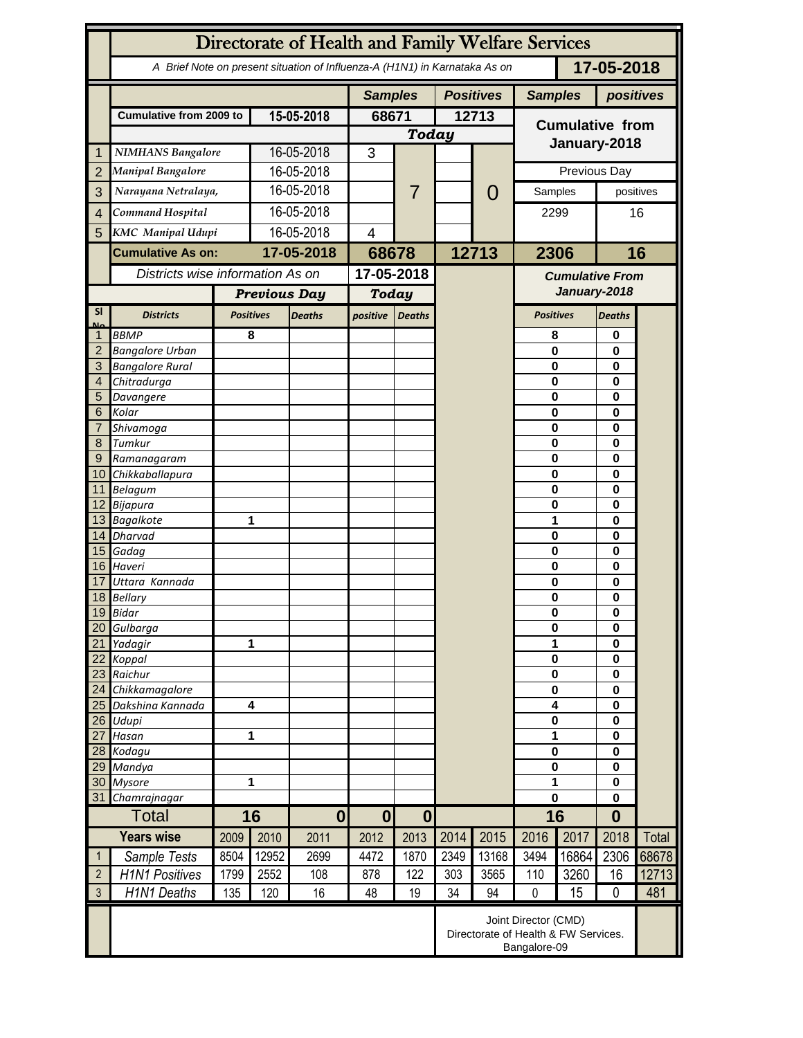|                 | Directorate of Health and Family Welfare Services                                        |                                                                              |                         |                |                              |               |                  |               |                                        |                      |                      |       |  |
|-----------------|------------------------------------------------------------------------------------------|------------------------------------------------------------------------------|-------------------------|----------------|------------------------------|---------------|------------------|---------------|----------------------------------------|----------------------|----------------------|-------|--|
|                 | 17-05-2018<br>A Brief Note on present situation of Influenza-A (H1N1) in Karnataka As on |                                                                              |                         |                |                              |               |                  |               |                                        |                      |                      |       |  |
|                 |                                                                                          |                                                                              |                         | <b>Samples</b> |                              |               | <b>Positives</b> |               | <b>Samples</b>                         | positives            |                      |       |  |
|                 | <b>Cumulative from 2009 to</b>                                                           |                                                                              | 15-05-2018              |                | 68671                        |               | 12713            |               | <b>Cumulative from</b>                 |                      |                      |       |  |
|                 |                                                                                          |                                                                              |                         |                | <b>Today</b>                 |               |                  |               |                                        |                      |                      |       |  |
| 1               | <b>NIMHANS Bangalore</b>                                                                 |                                                                              | 16-05-2018              |                | 3                            |               |                  |               |                                        | January-2018         |                      |       |  |
| $\overline{2}$  | <b>Manipal Bangalore</b>                                                                 |                                                                              | 16-05-2018              |                |                              |               |                  |               |                                        | Previous Day         |                      |       |  |
| 3               | Narayana Netralaya,                                                                      |                                                                              | 16-05-2018              |                |                              | 7             |                  | $\mathcal{O}$ | Samples                                |                      | positives            |       |  |
| $\overline{4}$  | Command Hospital                                                                         |                                                                              | 16-05-2018              |                |                              |               |                  |               | 2299                                   |                      | 16                   |       |  |
|                 | <b>KMC</b> Manipal Udupi                                                                 |                                                                              | 16-05-2018              |                | $\overline{\mathcal{A}}$     |               |                  |               |                                        |                      |                      |       |  |
| 5               |                                                                                          |                                                                              |                         |                |                              |               |                  |               |                                        |                      |                      |       |  |
|                 | <b>Cumulative As on:</b>                                                                 |                                                                              | 17-05-2018              |                | 68678                        |               |                  | 12713         |                                        | 2306                 |                      | 16    |  |
|                 | Districts wise information As on                                                         |                                                                              |                         |                | 17-05-2018                   |               |                  |               | <b>Cumulative From</b><br>January-2018 |                      |                      |       |  |
|                 |                                                                                          |                                                                              | <b>Previous Day</b>     |                | <b>Today</b>                 |               |                  |               |                                        |                      |                      |       |  |
| <b>SI</b><br>Mz | <b>Districts</b>                                                                         |                                                                              | <b>Positives</b>        | <b>Deaths</b>  | positive                     | <b>Deaths</b> |                  |               | <b>Positives</b>                       |                      | <b>Deaths</b>        |       |  |
|                 | <b>BBMP</b>                                                                              |                                                                              | 8                       |                |                              |               |                  |               | 8                                      |                      | 0                    |       |  |
| $\overline{2}$  | <b>Bangalore Urban</b>                                                                   |                                                                              |                         |                |                              |               |                  |               | $\mathbf{0}$                           |                      | 0                    |       |  |
| 3               | <b>Bangalore Rural</b>                                                                   |                                                                              |                         |                |                              |               |                  |               | 0                                      |                      | $\bf{0}$             |       |  |
| 4               | Chitradurga                                                                              |                                                                              |                         |                |                              |               |                  |               | 0<br>0                                 |                      | 0                    |       |  |
| 5<br>6          | Davangere<br>Kolar                                                                       |                                                                              |                         |                |                              |               |                  |               | 0                                      |                      | 0<br>0               |       |  |
| 7               | Shivamoga                                                                                |                                                                              |                         |                |                              |               |                  |               | 0                                      |                      | 0                    |       |  |
| 8               | Tumkur                                                                                   |                                                                              |                         |                |                              |               |                  |               | $\mathbf 0$                            |                      | 0                    |       |  |
| 9               | Ramanagaram                                                                              |                                                                              |                         |                |                              |               |                  |               | $\mathbf 0$                            |                      | 0                    |       |  |
| 10 <sup>1</sup> | Chikkaballapura                                                                          |                                                                              |                         |                |                              |               |                  |               | 0                                      |                      | 0                    |       |  |
|                 | 11 Belagum                                                                               |                                                                              |                         |                |                              |               |                  |               | 0                                      |                      | 0                    |       |  |
|                 | 12 Bijapura<br>13 Bagalkote                                                              |                                                                              |                         | 1              |                              |               |                  |               | 0<br>1                                 |                      | $\bf{0}$<br>$\bf{0}$ |       |  |
|                 | 14 Dharvad                                                                               |                                                                              |                         |                |                              |               |                  |               | $\mathbf 0$                            | 0                    |                      |       |  |
|                 | 15 Gadag                                                                                 |                                                                              |                         |                |                              |               |                  |               | $\mathbf 0$                            |                      | 0                    |       |  |
|                 | 16 Haveri                                                                                |                                                                              |                         |                |                              |               |                  |               | $\mathbf 0$                            |                      | $\bf{0}$             |       |  |
| 17              | Uttara Kannada                                                                           |                                                                              |                         |                |                              |               |                  |               |                                        | 0                    |                      |       |  |
|                 | 18 Bellary                                                                               |                                                                              |                         |                |                              |               |                  |               |                                        | 0                    |                      |       |  |
|                 | 19 Bidar                                                                                 |                                                                              |                         |                |                              |               |                  |               | 0                                      |                      | 0<br>0               |       |  |
| 20<br>21        | Gulbarga<br>Yadagir                                                                      |                                                                              | 1                       |                |                              |               |                  |               |                                        | $\bf{0}$<br>1        |                      |       |  |
| 22              | Koppal                                                                                   |                                                                              |                         |                |                              |               |                  |               |                                        | $\bf{0}$             |                      |       |  |
| 23              | Raichur                                                                                  |                                                                              |                         |                |                              |               |                  |               |                                        | $\bf{0}$             |                      |       |  |
| 24              | Chikkamagalore                                                                           |                                                                              |                         |                |                              |               |                  |               | $\bf{0}$                               |                      | $\bf{0}$             |       |  |
| 25              | Dakshina Kannada                                                                         |                                                                              | $\overline{\mathbf{4}}$ |                |                              |               |                  |               | 4                                      |                      | $\bf{0}$             |       |  |
| 26              | Udupi                                                                                    |                                                                              | 1                       |                |                              |               |                  |               | $\pmb{0}$<br>1                         |                      | $\bf{0}$<br>$\bf{0}$ |       |  |
| 27              | Hasan<br>28 Kodagu                                                                       |                                                                              |                         |                |                              |               |                  |               |                                        | $\pmb{0}$            |                      |       |  |
| 29              | Mandya                                                                                   |                                                                              |                         |                |                              |               |                  |               | $\bf{0}$                               | $\bf{0}$<br>$\bf{0}$ |                      |       |  |
| 30              | <b>Mysore</b>                                                                            |                                                                              | 1                       |                |                              |               |                  |               | 1                                      |                      | $\bf{0}$             |       |  |
| 31              | Chamrajnagar                                                                             |                                                                              |                         |                |                              |               |                  |               | $\mathbf 0$                            |                      | $\bf{0}$             |       |  |
|                 | <b>Total</b>                                                                             |                                                                              | 16                      | $\mathbf{0}$   | $\bf{0}$<br>$\boldsymbol{0}$ |               |                  |               | 16                                     |                      | $\bf{0}$             |       |  |
|                 | <b>Years wise</b>                                                                        | 2009                                                                         | 2010                    | 2011           | 2012                         | 2013          | 2014             | 2015          | 2016                                   | 2017                 | 2018                 | Total |  |
| $\mathbf{1}$    | Sample Tests                                                                             | 8504                                                                         | 12952                   | 2699           | 4472                         | 1870          | 2349             | 13168         | 3494                                   | 16864                | 2306                 | 68678 |  |
| $\overline{2}$  | <b>H1N1 Positives</b>                                                                    | 1799                                                                         | 2552                    | 108            | 878                          | 122           | 303              | 3565          | 110                                    | 3260                 | 16                   | 12713 |  |
| $\mathfrak{Z}$  | H1N1 Deaths                                                                              | 135                                                                          | 120                     | 16             | 48                           | 19            | 34               | 94            | $\mathbf 0$                            | 15                   | $\mathbf 0$          | 481   |  |
|                 |                                                                                          | Joint Director (CMD)<br>Directorate of Health & FW Services.<br>Bangalore-09 |                         |                |                              |               |                  |               |                                        |                      |                      |       |  |